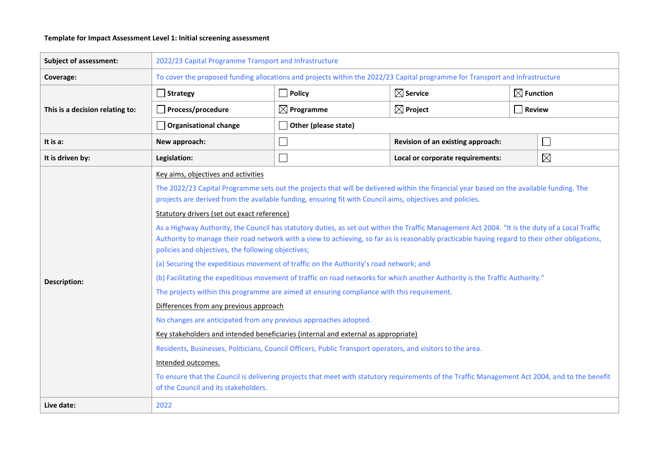## **Template for Impact Assessment Level 1: Initial screening assessment**

| <b>Subject of assessment:</b>   | 2022/23 Capital Programme Transport and Infrastructure                                                                                                                                                                                                                                                                                                  |                       |                                                 |                      |  |  |  |
|---------------------------------|---------------------------------------------------------------------------------------------------------------------------------------------------------------------------------------------------------------------------------------------------------------------------------------------------------------------------------------------------------|-----------------------|-------------------------------------------------|----------------------|--|--|--|
| Coverage:                       | To cover the proposed funding allocations and projects within the 2022/23 Capital programme for Transport and Infrastructure                                                                                                                                                                                                                            |                       |                                                 |                      |  |  |  |
|                                 | $\Box$ Strategy                                                                                                                                                                                                                                                                                                                                         | $\Box$ Policy         | $\boxtimes$ Service                             | $\boxtimes$ Function |  |  |  |
| This is a decision relating to: | Process/procedure                                                                                                                                                                                                                                                                                                                                       | $\boxtimes$ Programme | $\boxtimes$ Project                             | $\Box$ Review        |  |  |  |
|                                 | Organisational change<br>Other (please state)                                                                                                                                                                                                                                                                                                           |                       |                                                 |                      |  |  |  |
| It is a:                        | New approach:                                                                                                                                                                                                                                                                                                                                           | $\mathbb{Z}$          | $\Box$<br>Revision of an existing approach:     |                      |  |  |  |
| It is driven by:                | Legislation:                                                                                                                                                                                                                                                                                                                                            |                       | $\boxtimes$<br>Local or corporate requirements: |                      |  |  |  |
|                                 | Key aims, objectives and activities                                                                                                                                                                                                                                                                                                                     |                       |                                                 |                      |  |  |  |
|                                 | The 2022/23 Capital Programme sets out the projects that will be delivered within the financial year based on the available funding. The<br>projects are derived from the available funding, ensuring fit with Council aims, objectives and policies.                                                                                                   |                       |                                                 |                      |  |  |  |
|                                 | Statutory drivers (set out exact reference)                                                                                                                                                                                                                                                                                                             |                       |                                                 |                      |  |  |  |
|                                 | As a Highway Authority, the Council has statutory duties, as set out within the Traffic Management Act 2004. "It is the duty of a Local Traffic<br>Authority to manage their road network with a view to achieving, so far as is reasonably practicable having regard to their other obligations,<br>policies and objectives, the following objectives; |                       |                                                 |                      |  |  |  |
|                                 | (a) Securing the expeditious movement of traffic on the Authority's road network; and                                                                                                                                                                                                                                                                   |                       |                                                 |                      |  |  |  |
| Description:                    | (b) Facilitating the expeditious movement of traffic on road networks for which another Authority is the Traffic Authority."                                                                                                                                                                                                                            |                       |                                                 |                      |  |  |  |
|                                 | The projects within this programme are aimed at ensuring compliance with this requirement.                                                                                                                                                                                                                                                              |                       |                                                 |                      |  |  |  |
|                                 | Differences from any previous approach                                                                                                                                                                                                                                                                                                                  |                       |                                                 |                      |  |  |  |
|                                 | No changes are anticipated from any previous approaches adopted.                                                                                                                                                                                                                                                                                        |                       |                                                 |                      |  |  |  |
|                                 | Key stakeholders and intended beneficiaries (internal and external as appropriate)                                                                                                                                                                                                                                                                      |                       |                                                 |                      |  |  |  |
|                                 | Residents, Businesses, Politicians, Council Officers, Public Transport operators, and visitors to the area.                                                                                                                                                                                                                                             |                       |                                                 |                      |  |  |  |
|                                 | Intended outcomes.                                                                                                                                                                                                                                                                                                                                      |                       |                                                 |                      |  |  |  |
|                                 | To ensure that the Council is delivering projects that meet with statutory requirements of the Traffic Management Act 2004, and to the benefit<br>of the Council and its stakeholders.                                                                                                                                                                  |                       |                                                 |                      |  |  |  |
| Live date:                      | 2022                                                                                                                                                                                                                                                                                                                                                    |                       |                                                 |                      |  |  |  |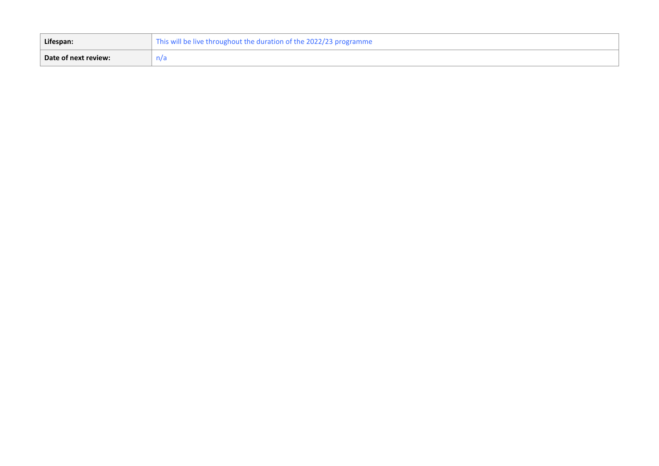| Lifespan:            | This will be live throughout the duration of the 2022/23 programme |  |  |  |  |
|----------------------|--------------------------------------------------------------------|--|--|--|--|
| Date of next review: |                                                                    |  |  |  |  |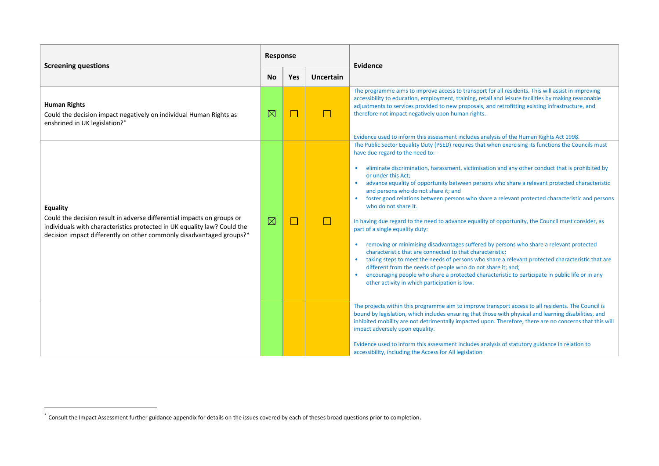| <b>Screening questions</b>                                                                                                                                                                                                                    |             | Response   |           | Evidence                                                                                                                                                                                                                                                                                                                                                                                                                                                                                                                                                                                                                                                                                                                                                                                                                                                                                                                                                                                                                                                                                                                                                                    |  |
|-----------------------------------------------------------------------------------------------------------------------------------------------------------------------------------------------------------------------------------------------|-------------|------------|-----------|-----------------------------------------------------------------------------------------------------------------------------------------------------------------------------------------------------------------------------------------------------------------------------------------------------------------------------------------------------------------------------------------------------------------------------------------------------------------------------------------------------------------------------------------------------------------------------------------------------------------------------------------------------------------------------------------------------------------------------------------------------------------------------------------------------------------------------------------------------------------------------------------------------------------------------------------------------------------------------------------------------------------------------------------------------------------------------------------------------------------------------------------------------------------------------|--|
|                                                                                                                                                                                                                                               |             | <b>Yes</b> | Uncertain |                                                                                                                                                                                                                                                                                                                                                                                                                                                                                                                                                                                                                                                                                                                                                                                                                                                                                                                                                                                                                                                                                                                                                                             |  |
| <b>Human Rights</b><br>Could the decision impact negatively on individual Human Rights as<br>enshrined in UK legislation?*                                                                                                                    | $\boxtimes$ |            | k.        | The programme aims to improve access to transport for all residents. This will assist in improving<br>accessibility to education, employment, training, retail and leisure facilities by making reasonable<br>adjustments to services provided to new proposals, and retrofitting existing infrastructure, and<br>therefore not impact negatively upon human rights.<br>Evidence used to inform this assessment includes analysis of the Human Rights Act 1998.                                                                                                                                                                                                                                                                                                                                                                                                                                                                                                                                                                                                                                                                                                             |  |
| <b>Equality</b><br>Could the decision result in adverse differential impacts on groups or<br>individuals with characteristics protected in UK equality law? Could the<br>decision impact differently on other commonly disadvantaged groups?* | $\boxtimes$ |            | H         | The Public Sector Equality Duty (PSED) requires that when exercising its functions the Councils must<br>have due regard to the need to:-<br>eliminate discrimination, harassment, victimisation and any other conduct that is prohibited by<br>or under this Act:<br>advance equality of opportunity between persons who share a relevant protected characteristic<br>$\bullet$<br>and persons who do not share it; and<br>foster good relations between persons who share a relevant protected characteristic and persons<br>who do not share it.<br>In having due regard to the need to advance equality of opportunity, the Council must consider, as<br>part of a single equality duty:<br>removing or minimising disadvantages suffered by persons who share a relevant protected<br>characteristic that are connected to that characteristic:<br>taking steps to meet the needs of persons who share a relevant protected characteristic that are<br>different from the needs of people who do not share it; and;<br>encouraging people who share a protected characteristic to participate in public life or in any<br>other activity in which participation is low. |  |
|                                                                                                                                                                                                                                               |             |            |           | The projects within this programme aim to improve transport access to all residents. The Council is<br>bound by legislation, which includes ensuring that those with physical and learning disabilities, and<br>inhibited mobility are not detrimentally impacted upon. Therefore, there are no concerns that this will<br>impact adversely upon equality.<br>Evidence used to inform this assessment includes analysis of statutory guidance in relation to<br>accessibility, including the Access for All legislation                                                                                                                                                                                                                                                                                                                                                                                                                                                                                                                                                                                                                                                     |  |

1

<sup>\*</sup> Consult the Impact Assessment further guidance appendix for details on the issues covered by each of theses broad questions prior to completion.